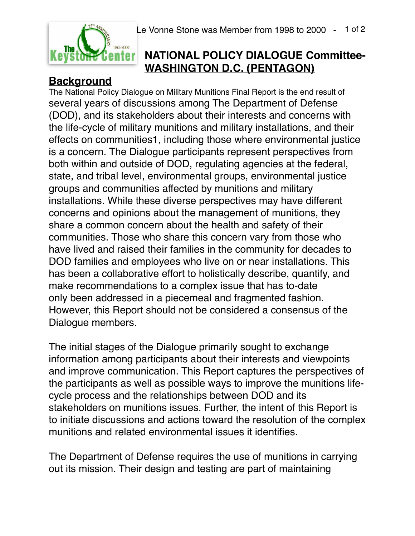

## **NATIONAL POLICY DIALOGUE Committee-WASHINGTON D.C. (PENTAGON)**

**Background** The National Policy Dialogue on Military Munitions Final Report is the end result of several years of discussions among The Department of Defense (DOD), and its stakeholders about their interests and concerns with the life-cycle of military munitions and military installations, and their effects on communities1, including those where environmental justice is a concern. The Dialogue participants represent perspectives from both within and outside of DOD, regulating agencies at the federal, state, and tribal level, environmental groups, environmental justice groups and communities affected by munitions and military installations. While these diverse perspectives may have different concerns and opinions about the management of munitions, they share a common concern about the health and safety of their communities. Those who share this concern vary from those who have lived and raised their families in the community for decades to DOD families and employees who live on or near installations. This has been a collaborative effort to holistically describe, quantify, and make recommendations to a complex issue that has to-date only been addressed in a piecemeal and fragmented fashion. However, this Report should not be considered a consensus of the Dialogue members.

The initial stages of the Dialogue primarily sought to exchange information among participants about their interests and viewpoints and improve communication. This Report captures the perspectives of the participants as well as possible ways to improve the munitions lifecycle process and the relationships between DOD and its stakeholders on munitions issues. Further, the intent of this Report is to initiate discussions and actions toward the resolution of the complex munitions and related environmental issues it identifies.

The Department of Defense requires the use of munitions in carrying out its mission. Their design and testing are part of maintaining